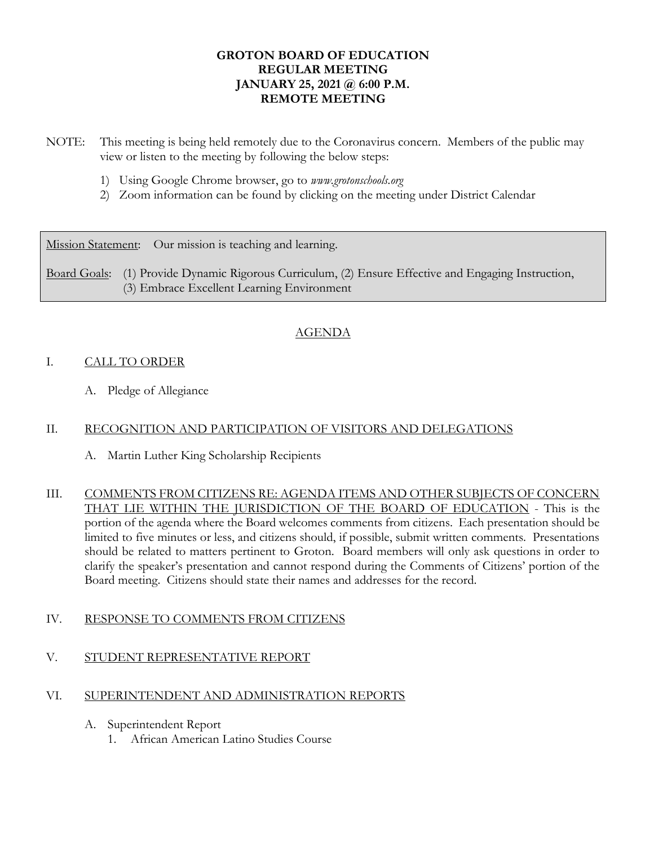## **GROTON BOARD OF EDUCATION REGULAR MEETING JANUARY 25, 2021 @ 6:00 P.M. REMOTE MEETING**

- NOTE: This meeting is being held remotely due to the Coronavirus concern. Members of the public may view or listen to the meeting by following the below steps:
	- 1) Using Google Chrome browser, go to *www.grotonschools.org*
	- 2) Zoom information can be found by clicking on the meeting under District Calendar

Mission Statement: Our mission is teaching and learning.

Board Goals: (1) Provide Dynamic Rigorous Curriculum, (2) Ensure Effective and Engaging Instruction, (3) Embrace Excellent Learning Environment

# AGENDA

## I. CALL TO ORDER

A. Pledge of Allegiance

## II. RECOGNITION AND PARTICIPATION OF VISITORS AND DELEGATIONS

- A. Martin Luther King Scholarship Recipients
- III. COMMENTS FROM CITIZENS RE: AGENDA ITEMS AND OTHER SUBJECTS OF CONCERN THAT LIE WITHIN THE JURISDICTION OF THE BOARD OF EDUCATION - This is the portion of the agenda where the Board welcomes comments from citizens. Each presentation should be limited to five minutes or less, and citizens should, if possible, submit written comments. Presentations should be related to matters pertinent to Groton. Board members will only ask questions in order to clarify the speaker's presentation and cannot respond during the Comments of Citizens' portion of the Board meeting. Citizens should state their names and addresses for the record.

#### IV. RESPONSE TO COMMENTS FROM CITIZENS

#### V. STUDENT REPRESENTATIVE REPORT

#### VI. SUPERINTENDENT AND ADMINISTRATION REPORTS

- A. Superintendent Report
	- 1. African American Latino Studies Course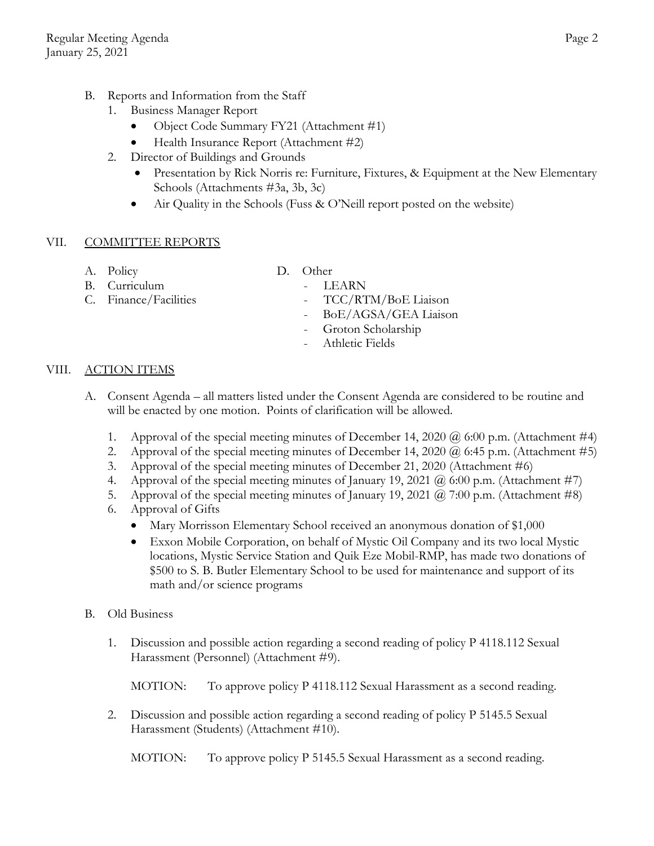- B. Reports and Information from the Staff
	- 1. Business Manager Report
		- Object Code Summary FY21 (Attachment #1)
		- Health Insurance Report (Attachment #2)
	- 2. Director of Buildings and Grounds
		- Presentation by Rick Norris re: Furniture, Fixtures, & Equipment at the New Elementary Schools (Attachments #3a, 3b, 3c)
		- Air Quality in the Schools (Fuss & O'Neill report posted on the website)

## VII. COMMITTEE REPORTS

- 
- A. Policy D. Other
- B. Curriculum LEARN
- 
- 
- C. Finance/Facilities TCC/RTM/BoE Liaison
	- BoE/AGSA/GEA Liaison
	- Groton Scholarship
	- Athletic Fields

# VIII. ACTION ITEMS

- A. Consent Agenda all matters listed under the Consent Agenda are considered to be routine and will be enacted by one motion. Points of clarification will be allowed.
	- 1. Approval of the special meeting minutes of December 14, 2020  $\omega$  6:00 p.m. (Attachment #4)
	- 2. Approval of the special meeting minutes of December 14, 2020  $\omega$  6:45 p.m. (Attachment #5)
	- 3. Approval of the special meeting minutes of December 21, 2020 (Attachment #6)
	- 4. Approval of the special meeting minutes of January 19, 2021  $\omega$  6:00 p.m. (Attachment #7)
	- 5. Approval of the special meeting minutes of January 19, 2021  $\omega$  7:00 p.m. (Attachment #8)
	- 6. Approval of Gifts
		- Mary Morrisson Elementary School received an anonymous donation of \$1,000
		- Exxon Mobile Corporation, on behalf of Mystic Oil Company and its two local Mystic locations, Mystic Service Station and Quik Eze Mobil-RMP, has made two donations of \$500 to S. B. Butler Elementary School to be used for maintenance and support of its math and/or science programs

#### B. Old Business

1. Discussion and possible action regarding a second reading of policy P 4118.112 Sexual Harassment (Personnel) (Attachment #9).

MOTION: To approve policy P 4118.112 Sexual Harassment as a second reading.

2. Discussion and possible action regarding a second reading of policy P 5145.5 Sexual Harassment (Students) (Attachment #10).

MOTION: To approve policy P 5145.5 Sexual Harassment as a second reading.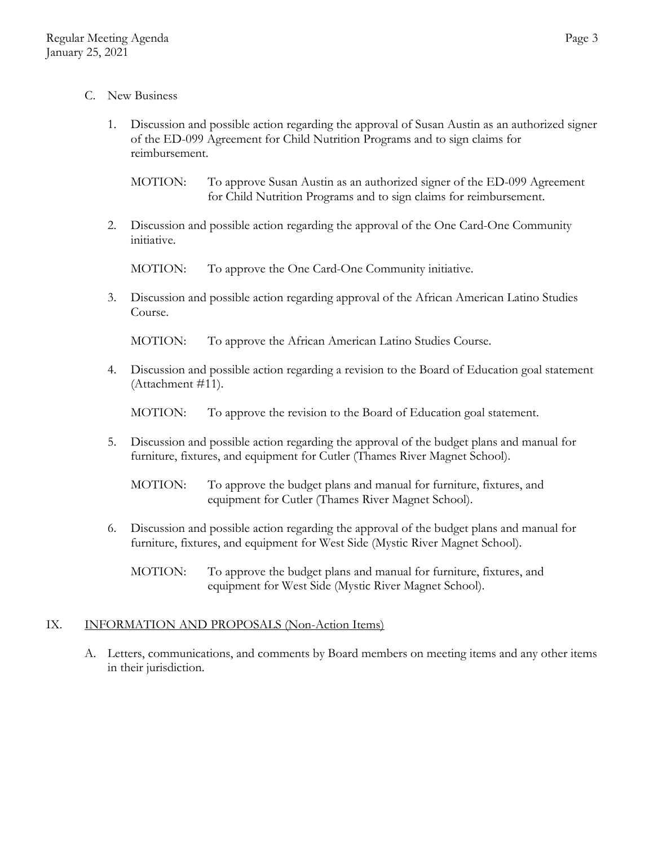- C. New Business
	- 1. Discussion and possible action regarding the approval of Susan Austin as an authorized signer of the ED-099 Agreement for Child Nutrition Programs and to sign claims for reimbursement.

MOTION: To approve Susan Austin as an authorized signer of the ED-099 Agreement for Child Nutrition Programs and to sign claims for reimbursement.

2. Discussion and possible action regarding the approval of the One Card-One Community initiative.

MOTION: To approve the One Card-One Community initiative.

3. Discussion and possible action regarding approval of the African American Latino Studies Course.

MOTION: To approve the African American Latino Studies Course.

4. Discussion and possible action regarding a revision to the Board of Education goal statement (Attachment #11).

MOTION: To approve the revision to the Board of Education goal statement.

5. Discussion and possible action regarding the approval of the budget plans and manual for furniture, fixtures, and equipment for Cutler (Thames River Magnet School).

MOTION: To approve the budget plans and manual for furniture, fixtures, and equipment for Cutler (Thames River Magnet School).

- 6. Discussion and possible action regarding the approval of the budget plans and manual for furniture, fixtures, and equipment for West Side (Mystic River Magnet School).
	- MOTION: To approve the budget plans and manual for furniture, fixtures, and equipment for West Side (Mystic River Magnet School).

# IX. INFORMATION AND PROPOSALS (Non-Action Items)

A. Letters, communications, and comments by Board members on meeting items and any other items in their jurisdiction.